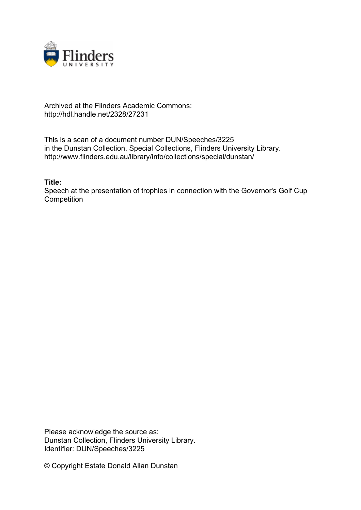

## Archived at the Flinders Academic Commons: http://hdl.handle.net/2328/27231

This is a scan of a document number DUN/Speeches/3225 in the Dunstan Collection, Special Collections, Flinders University Library. http://www.flinders.edu.au/library/info/collections/special/dunstan/

**Title:**

Speech at the presentation of trophies in connection with the Governor's Golf Cup **Competition** 

Please acknowledge the source as: Dunstan Collection, Flinders University Library. Identifier: DUN/Speeches/3225

© Copyright Estate Donald Allan Dunstan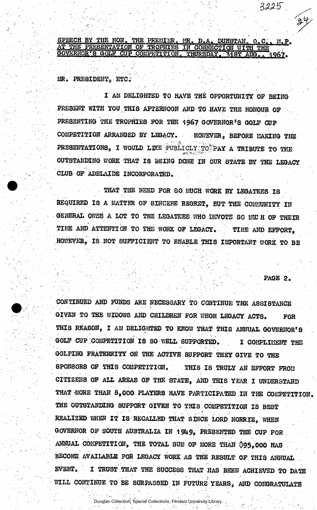SPEECH BY THE HON. THE PREMIER. MR. D.A. DUNSTAN. Q.C., M.P. AT THE PRESENTATION OF TROPHIES IN CONNECTION WITH THE GOVERNOR'S GOLF CUP COMPETITION. THURSDAY, 318T AUG., 1967.

MR. PRESIDENT. ETC.

I AM DELIGHTED TO HAVE THE OPPORTUNITY OF BEING PRESENT WITH YOU THIS AFTERNOON AND TO HAVE THE HONOUR OF PRESENTING THE TROPHIES FOR THE 1967 GOVERNOR'S GOLF CUP. COMPETITION ARRANGED BY LEGACY. HOWEVER, BEFORE MAKING THE PRESENTATIONS, I WOULD LIKE PUBLICLY TO PAY A TRIBUTE TO THE OUTSTANDING WORK THAT IS BEING DONE IN OUR STATE BY THE LEGACY CLUB OF ADELAIDE INCORPORATED.

THAT THE NEED FOR SO MUCH WORK BY LEGATEES IS REQUIRED IS A MATTER OF SINCERE REGRET, BUT THE COMMUNITY IN GENERAL OWES A LOT TO THE LEGATEES WHO DEVOTE SO MU H OF THEIR TIME AND ATTENTION TO THE WORK OF LEGACY. TIME AND EFFORT. HOWEVER, IS NOT SUFFICIENT TO ENABLE THIS IMPORTANT WORK TO BE

 $\mathbb{P}_\bullet$  :  $\mathbb{P}_\bullet$  :  $\mathbb{P}_\bullet$  :  $\mathbb{P}_\bullet$  :  $\mathbb{P}_\bullet$  :  $\mathbb{P}_\bullet$  :  $\mathbb{P}_\bullet$  :  $\mathbb{P}_\bullet$  :  $\mathbb{P}_\bullet$  :  $\mathbb{P}_\bullet$  :  $\mathbb{P}_\bullet$  :  $\mathbb{P}_\bullet$  :  $\mathbb{P}_\bullet$  :  $\mathbb{P}_\bullet$  :  $\mathbb{P}_\bullet$  :  $\mathbb{P}_\bullet$  :  $\mathbb{P}_\bullet$  :

 $3225$ 

CONTINUED AND FUNDS ARE NECESSARY TO CONTINUE THE ASSISTANCE GIVEN TO THE WIDOWS AND CHILDREN FOR WHOM LEGACY ACTS. FOR THIS REASOH, I AM DELIGHTED TO KNOW THAT THIS ANNUAL GOVERNOR'S GOLF CUP COMPETITION IS SO WELL SUPPORTED. I COMPLIMENT THE GOLFING FRATERNITY ON THE ACTIVE SUPPORT THEY GIVE TO THE SPONSORS OF THIS COMPETITION. THI8 IS TRULY AN EFFORT FROM CITIZENS OF ALL AREAS OF THE STATE, AND THIS YEAR I UNDERSTAND THAT MORE THAN 8,000 PLAYERS HAVE PARTICIPATED IN THE COMPETITION. THE OUTSTANDING SUPPORT GIVEN TO THIS COMPETITION IS BEST REALIZED WHEN IT IS RECALLED THAT SINCE LORD NORRIE, WHEN GOVERNOR OF SOUTH AUSTRALIA IN 1949, PRESENTED THE CUP FOR ANNUAL COMPETITION, THE TOTAL SUM OF MORE THAN \$95,000 HAS BECOME AVAILABLE FOR LEGACY WORK AS THE RESULT OF THIS ANNUAL EVENT. • I TRUST THAT THE SUCCESS THAT HAS BEEN ACHIEVED TO DATE WILL CONTINUE TO BE SURPASSED IN FUTURE YEARS, AND CONGRATULATE

Dunstan Collection, Special Collections, Flinders University Library.